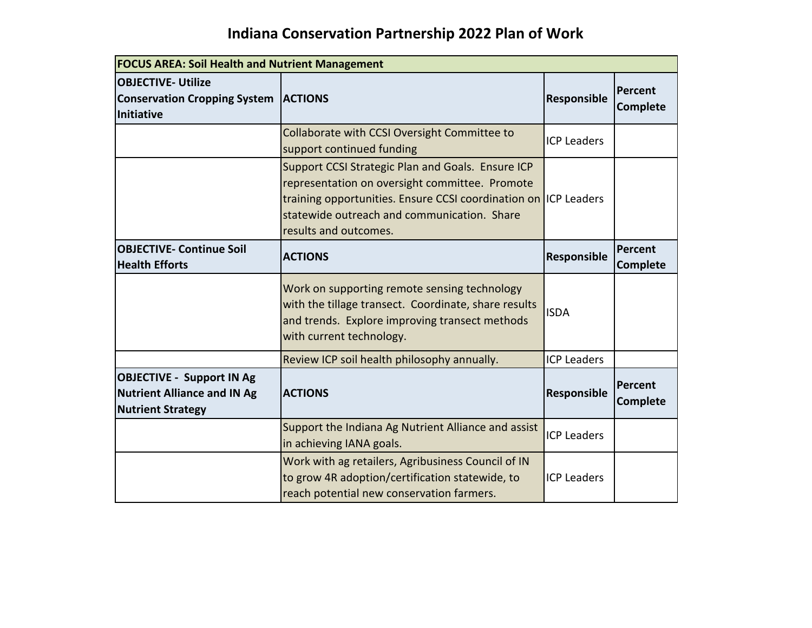## **Indiana Conservation Partnership 2022 Plan of Work**

| <b>FOCUS AREA: Soil Health and Nutrient Management</b>                                             |                                                                                                                                                                                                                                                |                    |                            |
|----------------------------------------------------------------------------------------------------|------------------------------------------------------------------------------------------------------------------------------------------------------------------------------------------------------------------------------------------------|--------------------|----------------------------|
| <b>OBJECTIVE- Utilize</b><br><b>Conservation Cropping System   ACTIONS</b><br><b>Initiative</b>    |                                                                                                                                                                                                                                                | Responsible        | Percent<br><b>Complete</b> |
|                                                                                                    | Collaborate with CCSI Oversight Committee to<br>support continued funding                                                                                                                                                                      | <b>ICP Leaders</b> |                            |
|                                                                                                    | Support CCSI Strategic Plan and Goals. Ensure ICP<br>representation on oversight committee. Promote<br>training opportunities. Ensure CCSI coordination on ICP Leaders<br>statewide outreach and communication. Share<br>results and outcomes. |                    |                            |
| <b>OBJECTIVE- Continue Soil</b><br><b>Health Efforts</b>                                           | <b>ACTIONS</b>                                                                                                                                                                                                                                 | Responsible        | Percent<br><b>Complete</b> |
|                                                                                                    | Work on supporting remote sensing technology<br>with the tillage transect. Coordinate, share results<br>and trends. Explore improving transect methods<br>with current technology.                                                             | <b>ISDA</b>        |                            |
|                                                                                                    | Review ICP soil health philosophy annually.                                                                                                                                                                                                    | <b>ICP Leaders</b> |                            |
| <b>OBJECTIVE - Support IN Ag</b><br><b>Nutrient Alliance and IN Ag</b><br><b>Nutrient Strategy</b> | <b>ACTIONS</b>                                                                                                                                                                                                                                 | Responsible        | Percent<br><b>Complete</b> |
|                                                                                                    | Support the Indiana Ag Nutrient Alliance and assist<br>in achieving IANA goals.                                                                                                                                                                | <b>ICP Leaders</b> |                            |
|                                                                                                    | Work with ag retailers, Agribusiness Council of IN<br>to grow 4R adoption/certification statewide, to<br>reach potential new conservation farmers.                                                                                             | <b>ICP Leaders</b> |                            |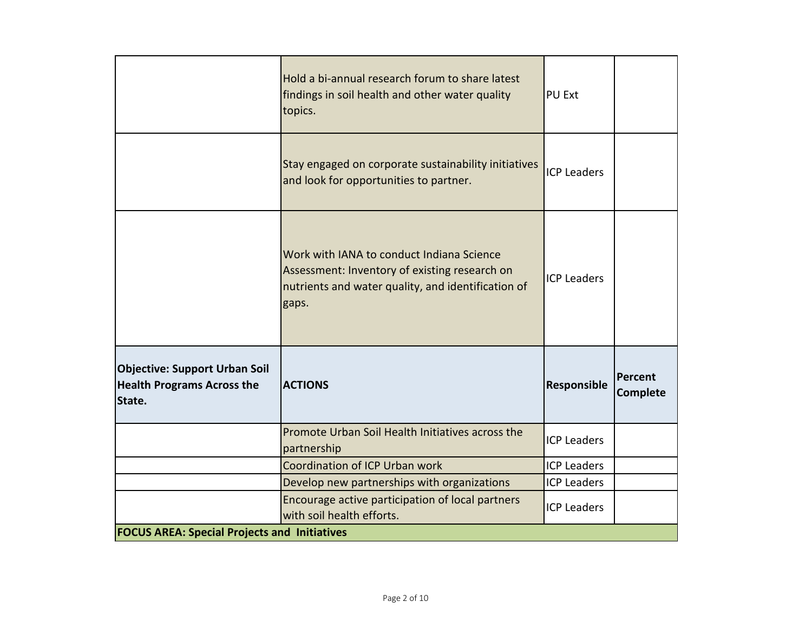|                                                                                     | Hold a bi-annual research forum to share latest<br>findings in soil health and other water quality<br>topics.                                             | PU Ext             |                            |
|-------------------------------------------------------------------------------------|-----------------------------------------------------------------------------------------------------------------------------------------------------------|--------------------|----------------------------|
|                                                                                     | Stay engaged on corporate sustainability initiatives<br>and look for opportunities to partner.                                                            | <b>ICP Leaders</b> |                            |
|                                                                                     | Work with IANA to conduct Indiana Science<br>Assessment: Inventory of existing research on<br>nutrients and water quality, and identification of<br>gaps. | <b>ICP Leaders</b> |                            |
| <b>Objective: Support Urban Soil</b><br><b>Health Programs Across the</b><br>State. | <b>ACTIONS</b>                                                                                                                                            | Responsible        | Percent<br><b>Complete</b> |
|                                                                                     | Promote Urban Soil Health Initiatives across the<br>partnership                                                                                           | <b>ICP Leaders</b> |                            |
|                                                                                     | Coordination of ICP Urban work                                                                                                                            | <b>ICP Leaders</b> |                            |
|                                                                                     | Develop new partnerships with organizations                                                                                                               | <b>ICP Leaders</b> |                            |
|                                                                                     | Encourage active participation of local partners<br>with soil health efforts.                                                                             | <b>ICP Leaders</b> |                            |
| <b>FOCUS AREA: Special Projects and Initiatives</b>                                 |                                                                                                                                                           |                    |                            |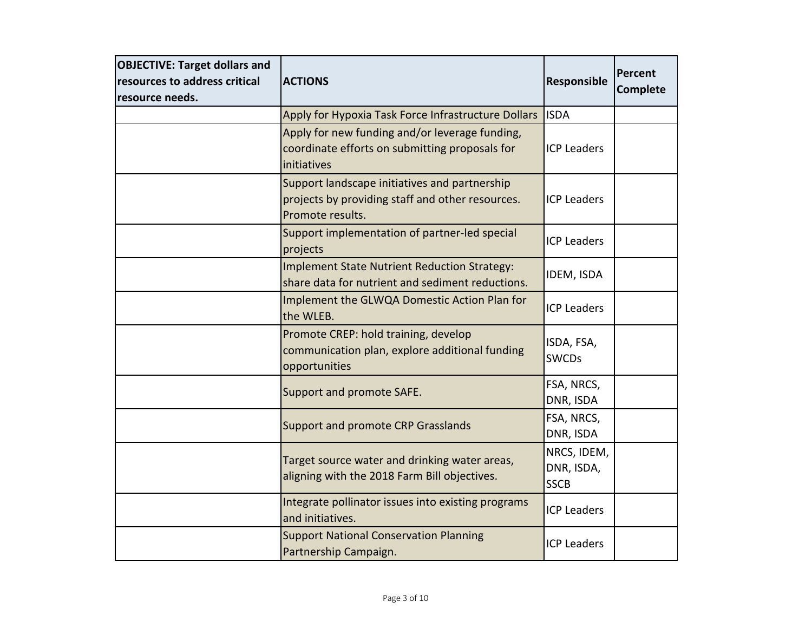| <b>OBJECTIVE: Target dollars and</b><br>resources to address critical<br>resource needs. | <b>ACTIONS</b>                                                                                                        | Responsible                              | Percent<br><b>Complete</b> |
|------------------------------------------------------------------------------------------|-----------------------------------------------------------------------------------------------------------------------|------------------------------------------|----------------------------|
|                                                                                          | Apply for Hypoxia Task Force Infrastructure Dollars                                                                   | <b>ISDA</b>                              |                            |
|                                                                                          | Apply for new funding and/or leverage funding,<br>coordinate efforts on submitting proposals for<br>initiatives       | <b>ICP Leaders</b>                       |                            |
|                                                                                          | Support landscape initiatives and partnership<br>projects by providing staff and other resources.<br>Promote results. | <b>ICP Leaders</b>                       |                            |
|                                                                                          | Support implementation of partner-led special<br>projects                                                             | <b>ICP Leaders</b>                       |                            |
|                                                                                          | <b>Implement State Nutrient Reduction Strategy:</b><br>share data for nutrient and sediment reductions.               | IDEM, ISDA                               |                            |
|                                                                                          | Implement the GLWQA Domestic Action Plan for<br>the WLEB.                                                             | <b>ICP Leaders</b>                       |                            |
|                                                                                          | Promote CREP: hold training, develop<br>communication plan, explore additional funding<br>opportunities               | ISDA, FSA,<br><b>SWCDs</b>               |                            |
|                                                                                          | Support and promote SAFE.                                                                                             | FSA, NRCS,<br>DNR, ISDA                  |                            |
|                                                                                          | Support and promote CRP Grasslands                                                                                    | FSA, NRCS,<br>DNR, ISDA                  |                            |
|                                                                                          | Target source water and drinking water areas,<br>aligning with the 2018 Farm Bill objectives.                         | NRCS, IDEM,<br>DNR, ISDA,<br><b>SSCB</b> |                            |
|                                                                                          | Integrate pollinator issues into existing programs<br>and initiatives.                                                | <b>ICP Leaders</b>                       |                            |
|                                                                                          | <b>Support National Conservation Planning</b><br>Partnership Campaign.                                                | <b>ICP Leaders</b>                       |                            |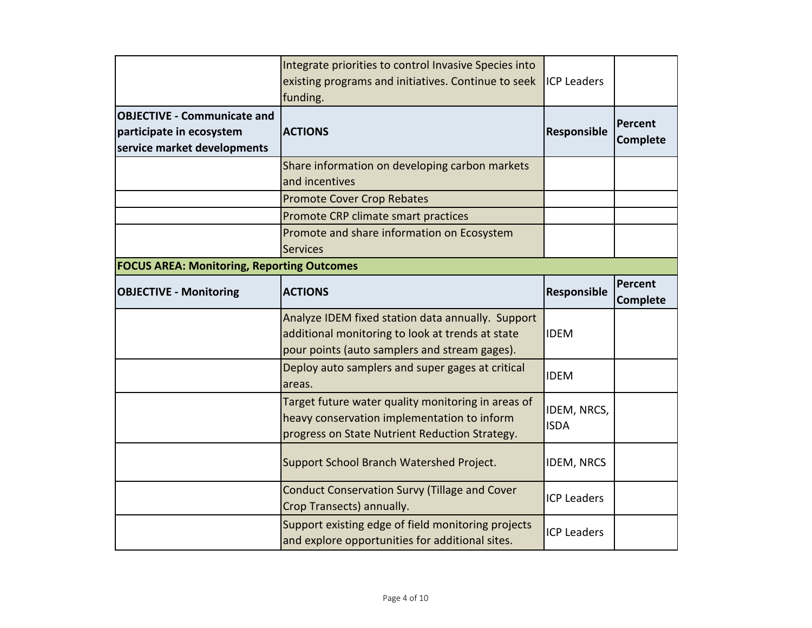|                                                                                               | Integrate priorities to control Invasive Species into<br>existing programs and initiatives. Continue to seek<br>funding.                               | <b>ICP Leaders</b>         |                                   |
|-----------------------------------------------------------------------------------------------|--------------------------------------------------------------------------------------------------------------------------------------------------------|----------------------------|-----------------------------------|
| <b>OBJECTIVE - Communicate and</b><br>participate in ecosystem<br>service market developments | <b>ACTIONS</b>                                                                                                                                         | Responsible                | Percent<br><b>Complete</b>        |
|                                                                                               | Share information on developing carbon markets<br>and incentives                                                                                       |                            |                                   |
|                                                                                               | <b>Promote Cover Crop Rebates</b>                                                                                                                      |                            |                                   |
|                                                                                               | Promote CRP climate smart practices                                                                                                                    |                            |                                   |
|                                                                                               | Promote and share information on Ecosystem<br><b>Services</b>                                                                                          |                            |                                   |
| <b>FOCUS AREA: Monitoring, Reporting Outcomes</b>                                             |                                                                                                                                                        |                            |                                   |
| <b>OBJECTIVE - Monitoring</b>                                                                 | <b>ACTIONS</b>                                                                                                                                         | Responsible                | <b>Percent</b><br><b>Complete</b> |
|                                                                                               | Analyze IDEM fixed station data annually. Support<br>additional monitoring to look at trends at state<br>pour points (auto samplers and stream gages). | <b>IDEM</b>                |                                   |
|                                                                                               | Deploy auto samplers and super gages at critical<br>areas.                                                                                             | <b>IDEM</b>                |                                   |
|                                                                                               | Target future water quality monitoring in areas of<br>heavy conservation implementation to inform<br>progress on State Nutrient Reduction Strategy.    | IDEM, NRCS,<br><b>ISDA</b> |                                   |
|                                                                                               | Support School Branch Watershed Project.                                                                                                               | <b>IDEM, NRCS</b>          |                                   |
|                                                                                               | <b>Conduct Conservation Survy (Tillage and Cover</b><br>Crop Transects) annually.                                                                      | <b>ICP Leaders</b>         |                                   |
|                                                                                               | Support existing edge of field monitoring projects<br>and explore opportunities for additional sites.                                                  | <b>ICP Leaders</b>         |                                   |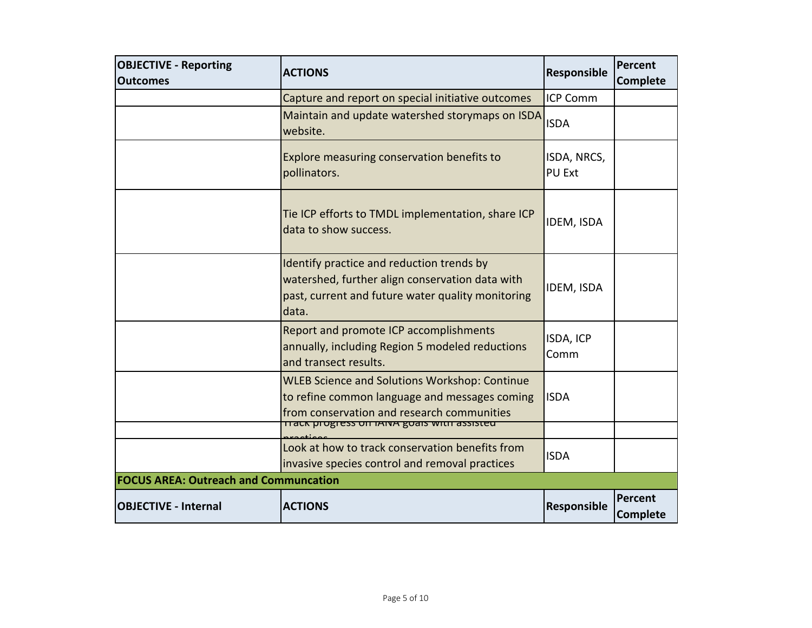| <b>OBJECTIVE - Reporting</b>                 | <b>ACTIONS</b>                                                                                                                                             | Responsible                  | <b>Percent</b>             |
|----------------------------------------------|------------------------------------------------------------------------------------------------------------------------------------------------------------|------------------------------|----------------------------|
| <b>Outcomes</b>                              |                                                                                                                                                            |                              | <b>Complete</b>            |
|                                              | Capture and report on special initiative outcomes                                                                                                          | <b>ICP Comm</b>              |                            |
|                                              | Maintain and update watershed storymaps on ISDA<br>website.                                                                                                | <b>ISDA</b>                  |                            |
|                                              | Explore measuring conservation benefits to<br>pollinators.                                                                                                 | ISDA, NRCS,<br><b>PU Ext</b> |                            |
|                                              | Tie ICP efforts to TMDL implementation, share ICP<br>data to show success.                                                                                 | IDEM, ISDA                   |                            |
|                                              | Identify practice and reduction trends by<br>watershed, further align conservation data with<br>past, current and future water quality monitoring<br>data. | IDEM, ISDA                   |                            |
|                                              | Report and promote ICP accomplishments<br>annually, including Region 5 modeled reductions<br>and transect results.                                         | ISDA, ICP<br>Comm            |                            |
|                                              | <b>WLEB Science and Solutions Workshop: Continue</b><br>to refine common language and messages coming<br>from conservation and research communities        | <b>ISDA</b>                  |                            |
|                                              | <u>  TTack progress on TANA goals with assisted</u>                                                                                                        |                              |                            |
|                                              | Look at how to track conservation benefits from<br>invasive species control and removal practices                                                          | <b>ISDA</b>                  |                            |
| <b>FOCUS AREA: Outreach and Communcation</b> |                                                                                                                                                            |                              |                            |
| <b>OBJECTIVE - Internal</b>                  | <b>ACTIONS</b>                                                                                                                                             | Responsible                  | Percent<br><b>Complete</b> |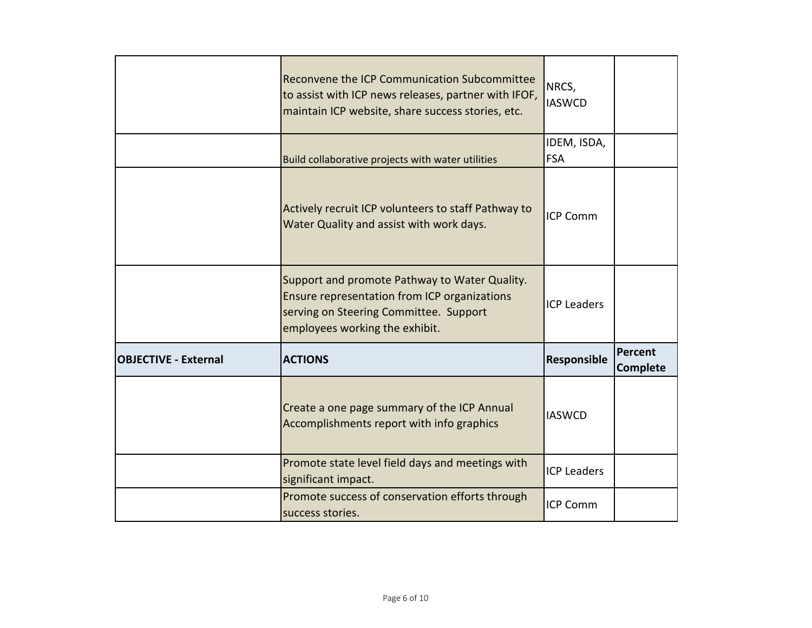|                             | Reconvene the ICP Communication Subcommittee<br>to assist with ICP news releases, partner with IFOF,<br>maintain ICP website, share success stories, etc.                 | NRCS,<br><b>IASWCD</b> |                                   |
|-----------------------------|---------------------------------------------------------------------------------------------------------------------------------------------------------------------------|------------------------|-----------------------------------|
|                             |                                                                                                                                                                           | IDEM, ISDA,            |                                   |
|                             | Build collaborative projects with water utilities                                                                                                                         | <b>FSA</b>             |                                   |
|                             | Actively recruit ICP volunteers to staff Pathway to<br>Water Quality and assist with work days.                                                                           | <b>ICP Comm</b>        |                                   |
|                             | Support and promote Pathway to Water Quality.<br>Ensure representation from ICP organizations<br>serving on Steering Committee. Support<br>employees working the exhibit. | <b>ICP Leaders</b>     |                                   |
| <b>OBJECTIVE - External</b> | <b>ACTIONS</b>                                                                                                                                                            | Responsible            | <b>Percent</b><br><b>Complete</b> |
|                             | Create a one page summary of the ICP Annual<br>Accomplishments report with info graphics                                                                                  | <b>IASWCD</b>          |                                   |
|                             | Promote state level field days and meetings with<br>significant impact.                                                                                                   | <b>ICP Leaders</b>     |                                   |
|                             | Promote success of conservation efforts through<br>success stories.                                                                                                       | <b>ICP Comm</b>        |                                   |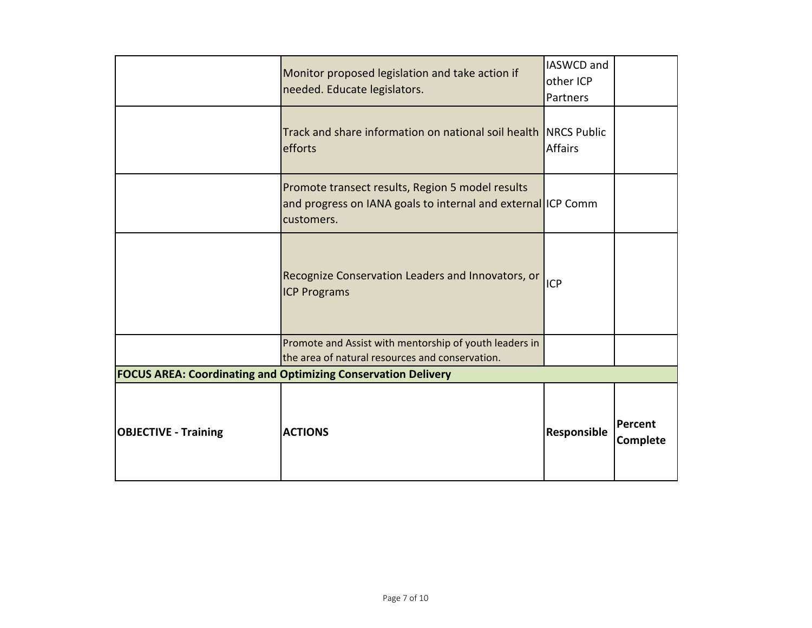|                             | Monitor proposed legislation and take action if<br>needed. Educate legislators.                                                | IASWCD and<br>other ICP<br>Partners |                     |
|-----------------------------|--------------------------------------------------------------------------------------------------------------------------------|-------------------------------------|---------------------|
|                             | Track and share information on national soil health INRCS Public<br>efforts                                                    | <b>Affairs</b>                      |                     |
|                             | Promote transect results, Region 5 model results<br>and progress on IANA goals to internal and external ICP Comm<br>customers. |                                     |                     |
|                             | Recognize Conservation Leaders and Innovators, or  ICP<br><b>ICP Programs</b>                                                  |                                     |                     |
|                             | Promote and Assist with mentorship of youth leaders in<br>the area of natural resources and conservation.                      |                                     |                     |
|                             | <b>FOCUS AREA: Coordinating and Optimizing Conservation Delivery</b>                                                           |                                     |                     |
| <b>OBJECTIVE - Training</b> | <b>ACTIONS</b>                                                                                                                 | Responsible                         | Percent<br>Complete |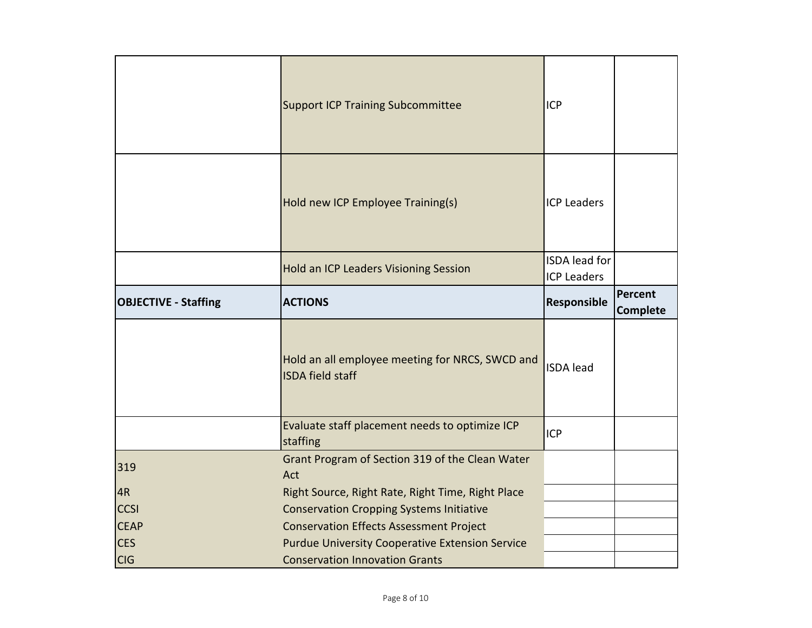|                             | <b>Support ICP Training Subcommittee</b>                                   | <b>ICP</b>                                 |                            |
|-----------------------------|----------------------------------------------------------------------------|--------------------------------------------|----------------------------|
|                             | Hold new ICP Employee Training(s)                                          | <b>ICP Leaders</b>                         |                            |
|                             | Hold an ICP Leaders Visioning Session                                      | <b>ISDA</b> lead for<br><b>ICP Leaders</b> |                            |
| <b>OBJECTIVE - Staffing</b> | <b>ACTIONS</b>                                                             | Responsible                                | Percent<br><b>Complete</b> |
|                             |                                                                            |                                            |                            |
|                             | Hold an all employee meeting for NRCS, SWCD and<br><b>ISDA field staff</b> | <b>ISDA</b> lead                           |                            |
|                             | Evaluate staff placement needs to optimize ICP<br>staffing                 | <b>ICP</b>                                 |                            |
| 319                         | Grant Program of Section 319 of the Clean Water<br>Act                     |                                            |                            |
| 4R                          | Right Source, Right Rate, Right Time, Right Place                          |                                            |                            |
| <b>CCSI</b>                 | <b>Conservation Cropping Systems Initiative</b>                            |                                            |                            |
| <b>CEAP</b>                 | <b>Conservation Effects Assessment Project</b>                             |                                            |                            |
| <b>CES</b>                  | <b>Purdue University Cooperative Extension Service</b>                     |                                            |                            |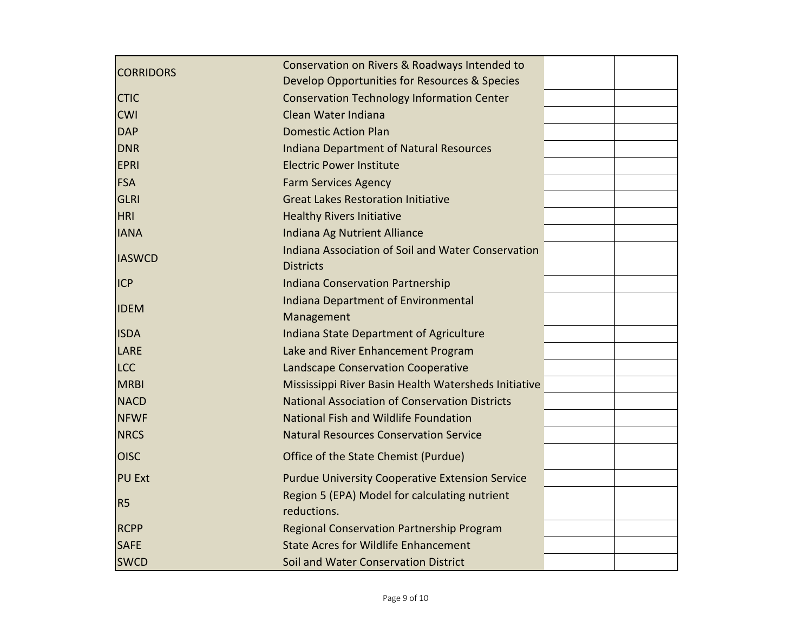|                  | Conservation on Rivers & Roadways Intended to                |  |
|------------------|--------------------------------------------------------------|--|
| <b>CORRIDORS</b> | Develop Opportunities for Resources & Species                |  |
| <b>CTIC</b>      | <b>Conservation Technology Information Center</b>            |  |
| <b>CWI</b>       | Clean Water Indiana                                          |  |
| <b>DAP</b>       | <b>Domestic Action Plan</b>                                  |  |
| <b>DNR</b>       | <b>Indiana Department of Natural Resources</b>               |  |
| <b>EPRI</b>      | <b>Electric Power Institute</b>                              |  |
| <b>FSA</b>       | <b>Farm Services Agency</b>                                  |  |
| GLRI             | <b>Great Lakes Restoration Initiative</b>                    |  |
| <b>HRI</b>       | <b>Healthy Rivers Initiative</b>                             |  |
| <b>IANA</b>      | Indiana Ag Nutrient Alliance                                 |  |
| <b>IASWCD</b>    | Indiana Association of Soil and Water Conservation           |  |
|                  | <b>Districts</b>                                             |  |
| <b>ICP</b>       | <b>Indiana Conservation Partnership</b>                      |  |
| <b>IDEM</b>      | <b>Indiana Department of Environmental</b>                   |  |
|                  | Management                                                   |  |
| <b>ISDA</b>      | Indiana State Department of Agriculture                      |  |
| LARE             | Lake and River Enhancement Program                           |  |
| <b>LCC</b>       | Landscape Conservation Cooperative                           |  |
| <b>MRBI</b>      | Mississippi River Basin Health Watersheds Initiative         |  |
| <b>NACD</b>      | <b>National Association of Conservation Districts</b>        |  |
| <b>NFWF</b>      | National Fish and Wildlife Foundation                        |  |
| <b>NRCS</b>      | <b>Natural Resources Conservation Service</b>                |  |
| <b>OISC</b>      | Office of the State Chemist (Purdue)                         |  |
| <b>PU Ext</b>    | <b>Purdue University Cooperative Extension Service</b>       |  |
| R <sub>5</sub>   | Region 5 (EPA) Model for calculating nutrient<br>reductions. |  |
| <b>RCPP</b>      | Regional Conservation Partnership Program                    |  |
| <b>SAFE</b>      | <b>State Acres for Wildlife Enhancement</b>                  |  |
| <b>SWCD</b>      | Soil and Water Conservation District                         |  |